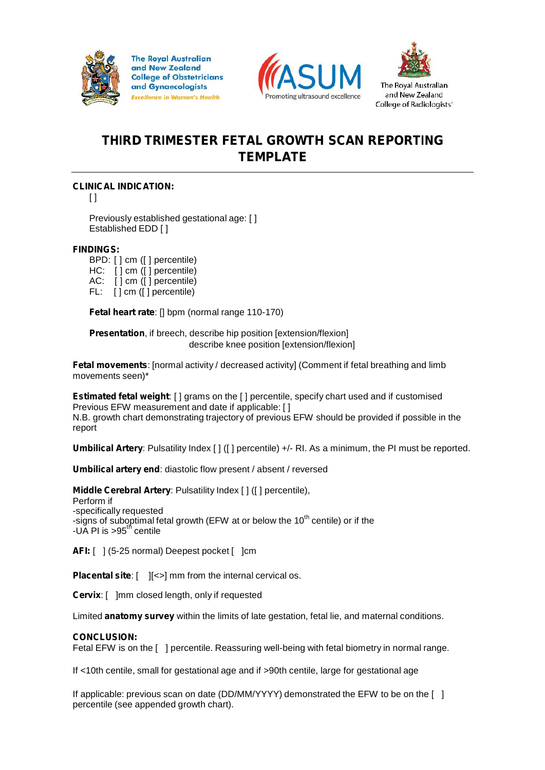

**The Royal Australian** and New Zealand **College of Obstetricians** and Gynaecologists **Excellence in Women's Health** 





The Roval Australian and New Zealand College of Radiologists<sup>\*</sup>

# **THIRD TRIMESTER FETAL GROWTH SCAN REPORTING TEMPLATE**

## **CLINICAL INDICATION:**

 $\lceil$   $\rceil$ 

Previously established gestational age: [ ] Established EDD [ ]

## **FINDINGS:**

BPD: [ ] cm ([ ] percentile) HC: [ ] cm ([ ] percentile) AC: [ ] cm ([ ] percentile) FL: [ ] cm ([ ] percentile)

**Fetal heart rate**: [] bpm (normal range 110-170)

**Presentation**, if breech, describe hip position [extension/flexion] describe knee position [extension/flexion]

**Fetal movements**: [normal activity / decreased activity] (Comment if fetal breathing and limb movements seen)\*

**Estimated fetal weight**: [ ] grams on the [ ] percentile, specify chart used and if customised Previous EFW measurement and date if applicable: [ ] N.B. growth chart demonstrating trajectory of previous EFW should be provided if possible in the report

**Umbilical Artery**: Pulsatility Index [ ] ([ ] percentile) +/- RI. As a minimum, the PI must be reported.

**Umbilical artery end**: diastolic flow present / absent / reversed

**Middle Cerebral Artery**: Pulsatility Index [ ] ([ ] percentile), Perform if -specifically requested -signs of suboptimal fetal growth (EFW at or below the 10 $^{\rm th}$  centile) or if the -UA PI is  $>95<sup>th</sup>$  centile

**AFI:** [ ] (5-25 normal) Deepest pocket [ ]cm

**Placental site:**  $\begin{bmatrix} | & \end{bmatrix}$  <> ] mm from the internal cervical os.

**Cervix**: [ ]mm closed length, only if requested

Limited **anatomy survey** within the limits of late gestation, fetal lie, and maternal conditions.

## **CONCLUSION:**

Fetal EFW is on the [ ] percentile. Reassuring well-being with fetal biometry in normal range.

If <10th centile, small for gestational age and if >90th centile, large for gestational age

If applicable: previous scan on date (DD/MM/YYYY) demonstrated the EFW to be on the [ ] percentile (see appended growth chart).